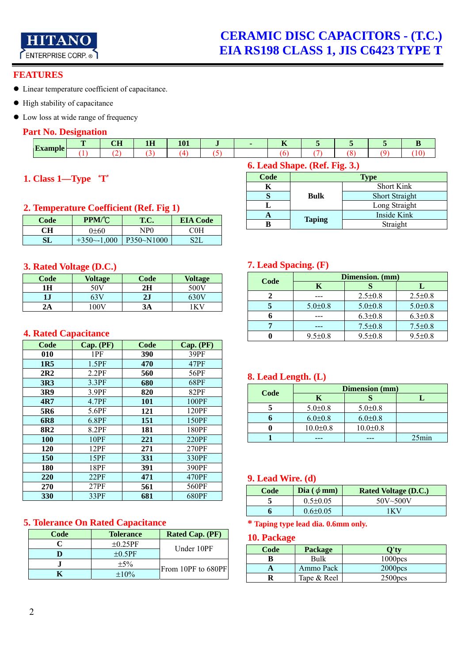

**CERAMIC DISC CAPACITORS - (T.C.) EIA RS198 CLASS 1, JIS C6423 TYPE T**

#### **FEATURES**

- Linear temperature coefficient of capacitance.
- $\bullet$  High stability of capacitance
- Low loss at wide range of frequency

#### **Part No. Designation**

| $F_{\rm{z}z}$ mple | $\sim$ T<br>--- | 4 Y Y<br>. | $\sim$<br>. |  | $-$<br>$-$ |  |  |
|--------------------|-----------------|------------|-------------|--|------------|--|--|
| <b>CONGRESS</b>    |                 |            |             |  |            |  |  |

## **1. Class 1—Type**`**T**'

#### **2. Temperature Coefficient (Ref. Fig 1)**

| Code | PPM/°C         | T.C.       | <b>EIA Code</b> |
|------|----------------|------------|-----------------|
| CН   | 0+60           | NP0        | COH             |
|      | $+350 - 1,000$ | P350~N1000 | S21.            |

#### **3. Rated Voltage (D.C.)**

| Code | <b>Voltage</b> | Code | <b>Voltage</b> |
|------|----------------|------|----------------|
| 1Н   | 50V            | 2H   | 500V           |
| ιJ   | 63V            | 2J   |                |
| 2A   | .00V           | 3А   |                |

### **4. Rated Capacitance**

| Code            | Cap. (PF)   | Code       | Cap. (PF) |
|-----------------|-------------|------------|-----------|
| 010             | 1PF         | 390        | 39PF      |
| 1R <sub>5</sub> | 1.5PF       | 470        | 47PF      |
| 2R2             | 2.2PF       | 560        | 56PF      |
| 3R3             | 3.3PF       | 680        | 68PF      |
| 3R9             | 3.9PF       | 820        | 82PF      |
| 4R7             | 4.7PF       | <b>101</b> | 100PF     |
| 5R6             | 5.6PF       | 121        | 120PF     |
| 6R8             | 6.8PF       | 151        | 150PF     |
| 8R <sub>2</sub> | 8.2PF       | 181        | 180PF     |
| 100             | <b>10PF</b> | 221        | 220PF     |
| 120             | 12PF        | 271        | 270PF     |
| 150             | 15PF        | 331        | 330PF     |
| 180             | 18PF        | 391        | 390PF     |
| 220             | 22PF        | 471        | 470PF     |
| 270             | 27PF        | 561        | 560PF     |
| 330             | 33PF        | 681        | 680PF     |

### **5. Tolerance On Rated Capacitance**

| Code | <b>Tolerance</b> | <b>Rated Cap. (PF)</b> |
|------|------------------|------------------------|
|      | $\pm 0.25$ PF    | Under 10PF             |
|      | $\pm 0.5$ PF     |                        |
|      | $\pm$ 5%         | From 10PF to 680PF     |
|      | $\pm 10\%$       |                        |

## **6. Lead Shape. (Ref. Fig. 3.)**

| Code | Type          |                       |  |  |  |
|------|---------------|-----------------------|--|--|--|
|      |               | <b>Short Kink</b>     |  |  |  |
|      | <b>Bulk</b>   | <b>Short Straight</b> |  |  |  |
|      |               | Long Straight         |  |  |  |
|      |               | Inside Kink           |  |  |  |
|      | <b>Taping</b> | Straight              |  |  |  |

## **7. Lead Spacing. (F)**

| Code | Dimension. (mm) |               |               |  |  |  |
|------|-----------------|---------------|---------------|--|--|--|
|      | Κ               |               |               |  |  |  |
|      |                 | $2.5 \pm 0.8$ | $2.5 \pm 0.8$ |  |  |  |
|      | $5.0 \pm 0.8$   | $5.0 \pm 0.8$ | $5.0 \pm 0.8$ |  |  |  |
|      |                 | $6.3 \pm 0.8$ | $6.3 \pm 0.8$ |  |  |  |
|      |                 | $7.5 \pm 0.8$ | $7.5 \pm 0.8$ |  |  |  |
|      | $9.5 \pm 0.8$   | $9.5 \pm 0.8$ | $9.5 \pm 0.8$ |  |  |  |

## **8. Lead Length. (L)**

| Code | <b>Dimension (mm)</b> |                |       |  |  |
|------|-----------------------|----------------|-------|--|--|
|      | K                     |                |       |  |  |
|      | $5.0 \pm 0.8$         | $5.0 \pm 0.8$  |       |  |  |
|      | $6.0 \pm 0.8$         | $6.0 \pm 0.8$  |       |  |  |
|      | $10.0 \pm 0.8$        | $10.0 \pm 0.8$ |       |  |  |
|      |                       |                | 25min |  |  |

#### **9. Lead Wire. (d)**

| Code | Dia ( $\phi$ mm) | <b>Rated Voltage (D.C.)</b> |
|------|------------------|-----------------------------|
|      | $0.5 \pm 0.05$   | $50V - 500V$                |
|      | $0.6 \pm 0.05$   | 1 K V                       |

## **\* Taping type lead dia. 0.6mm only.**

#### **10. Package**

| Code | <b>Package</b> |                     |
|------|----------------|---------------------|
|      | Bulk           | 1000 <sub>pos</sub> |
|      | Ammo Pack      | 2000 <sub>DCS</sub> |
|      | Tape & Reel    | 2500 <sub>pos</sub> |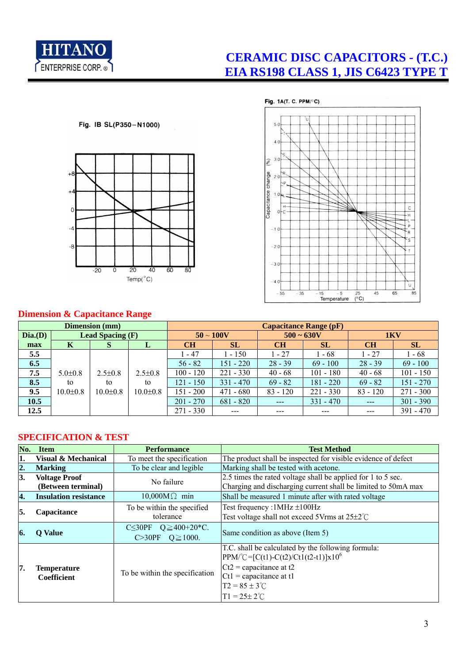

# **CERAMIC DISC CAPACITORS - (T.C.) EIA RS198 CLASS 1, JIS C6423 TYPE T**





## **Dimension & Capacitance Range**

| <b>Dimension</b> (mm) |                |                         |                | <b>Capacitance Range (pF)</b> |               |              |             |            |             |
|-----------------------|----------------|-------------------------|----------------|-------------------------------|---------------|--------------|-------------|------------|-------------|
| Dia.(D)               |                | <b>Lead Spacing (F)</b> |                | $50 \sim 100V$                |               | $500 - 630V$ |             | 1KV        |             |
| max                   | K              | S                       | L              | CH                            | <b>SL</b>     | <b>CH</b>    | <b>SL</b>   | <b>CH</b>  | SL          |
| 5.5                   |                |                         |                | 1 - 47                        | 1 - 150       | $1 - 27$     | $1 - 68$    | $1 - 27$   | $1 - 68$    |
| 6.5                   |                |                         |                | $56 - 82$                     | 151 - 220     | $28 - 39$    | $69 - 100$  | $28 - 39$  | $69 - 100$  |
| 7.5                   | $5.0 \pm 0.8$  | $2.5 \pm 0.8$           | $2.5 \pm 0.8$  | $100 - 120$                   | $221 - 330$   | $40 - 68$    | $101 - 180$ | $40 - 68$  | $101 - 150$ |
| 8.5                   | to             | to                      | to             | $121 - 150$                   | $331 - 470$   | $69 - 82$    | $181 - 220$ | $69 - 82$  | $151 - 270$ |
| 9.5                   | $10.0 \pm 0.8$ | $10.0 \pm 0.8$          | $10.0 \pm 0.8$ | 151 - 200                     | $471 - 680$   | $83 - 120$   | $221 - 330$ | $83 - 120$ | $271 - 300$ |
| 10.5                  |                |                         |                | $201 - 270$                   | $681 - 820$   | $- - -$      | $331 - 470$ |            | $301 - 390$ |
| 12.5                  |                |                         |                | $271 - 330$                   | $\frac{1}{2}$ | $- - -$      | $--$        | $---$      | $391 - 470$ |

## **SPECIFICATION & TEST**

| No. | <b>Item</b>                                | <b>Performance</b>                                                                                 | <b>Test Method</b>                                                                                                                                                                                                |
|-----|--------------------------------------------|----------------------------------------------------------------------------------------------------|-------------------------------------------------------------------------------------------------------------------------------------------------------------------------------------------------------------------|
| 1.  | <b>Visual &amp; Mechanical</b>             | To meet the specification                                                                          | The product shall be inspected for visible evidence of defect                                                                                                                                                     |
| 2.  | <b>Marking</b>                             | To be clear and legible                                                                            | Marking shall be tested with acetone.                                                                                                                                                                             |
| 3.  | <b>Voltage Proof</b><br>(Between terminal) | No failure                                                                                         | 2.5 times the rated voltage shall be applied for 1 to 5 sec.<br>Charging and discharging current shall be limited to 50mA max                                                                                     |
| 4.  | <b>Insulation resistance</b>               | $10,000M\Omega$ min                                                                                | Shall be measured 1 minute after with rated voltage                                                                                                                                                               |
| 5.  | Capacitance                                | To be within the specified<br>tolerance                                                            | Test frequency: $1MHz \pm 100Hz$<br>Test voltage shall not exceed 5Vrms at $25\pm2^{\circ}$ C                                                                                                                     |
| 6.  | <b>Q</b> Value                             | C<br><s30pf <math="">Q \ge 400+20*C.<br/><math>C &gt; 30PF</math> <math>Q \ge 1000</math>.</s30pf> | Same condition as above (Item 5)                                                                                                                                                                                  |
| 7.  | <b>Temperature</b><br>Coefficient          | To be within the specification                                                                     | T.C. shall be calculated by the following formula:<br>$PPM/C = [C(t1)-C(t2)/Ct1(t2-t1)]x10^6$<br>$Ct2$ = capacitance at t2<br>$Ct1$ = capacitance at t1<br>$T2 = 85 \pm 3^{\circ}$ C<br>$T1 = 25 \pm 2^{\circ}$ C |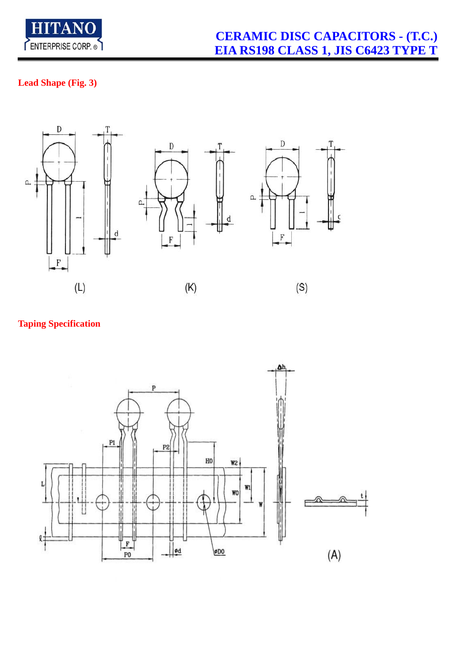

## **Lead Shape (Fig. 3)**



## **Taping Specification**